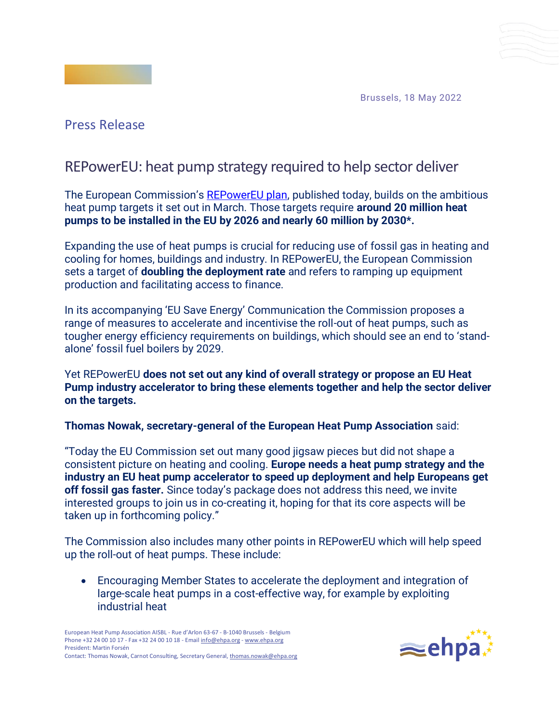Brussels, 18 May 2022



## Press Release

## REPowerEU: heat pump strategy required to help sector deliver

The European Commission's [REPowerEU plan,](https://eur-lex.europa.eu/legal-content/EN/TXT/?uri=COM%3A2022%3A230%3AFIN&qid=1653033742483) published today, builds on the ambitious heat pump targets it set out in March. Those targets require **around 20 million heat pumps to be installed in the EU by 2026 and nearly 60 million by 2030\*.**

Expanding the use of heat pumps is crucial for reducing use of fossil gas in heating and cooling for homes, buildings and industry. In REPowerEU, the European Commission sets a target of **doubling the deployment rate** and refers to ramping up equipment production and facilitating access to finance.

In its accompanying 'EU Save Energy' Communication the Commission proposes a range of measures to accelerate and incentivise the roll-out of heat pumps, such as tougher energy efficiency requirements on buildings, which should see an end to 'standalone' fossil fuel boilers by 2029.

Yet REPowerEU **does not set out any kind of overall strategy or propose an EU Heat Pump industry accelerator to bring these elements together and help the sector deliver on the targets.**

**Thomas Nowak, secretary-general of the European Heat Pump Association** said:

"Today the EU Commission set out many good jigsaw pieces but did not shape a consistent picture on heating and cooling. **Europe needs a heat pump strategy and the industry an EU heat pump accelerator to speed up deployment and help Europeans get off fossil gas faster.** Since today's package does not address this need, we invite interested groups to join us in co-creating it, hoping for that its core aspects will be taken up in forthcoming policy."

The Commission also includes many other points in REPowerEU which will help speed up the roll-out of heat pumps. These include:

• Encouraging Member States to accelerate the deployment and integration of large-scale heat pumps in a cost-effective way, for example by exploiting industrial heat